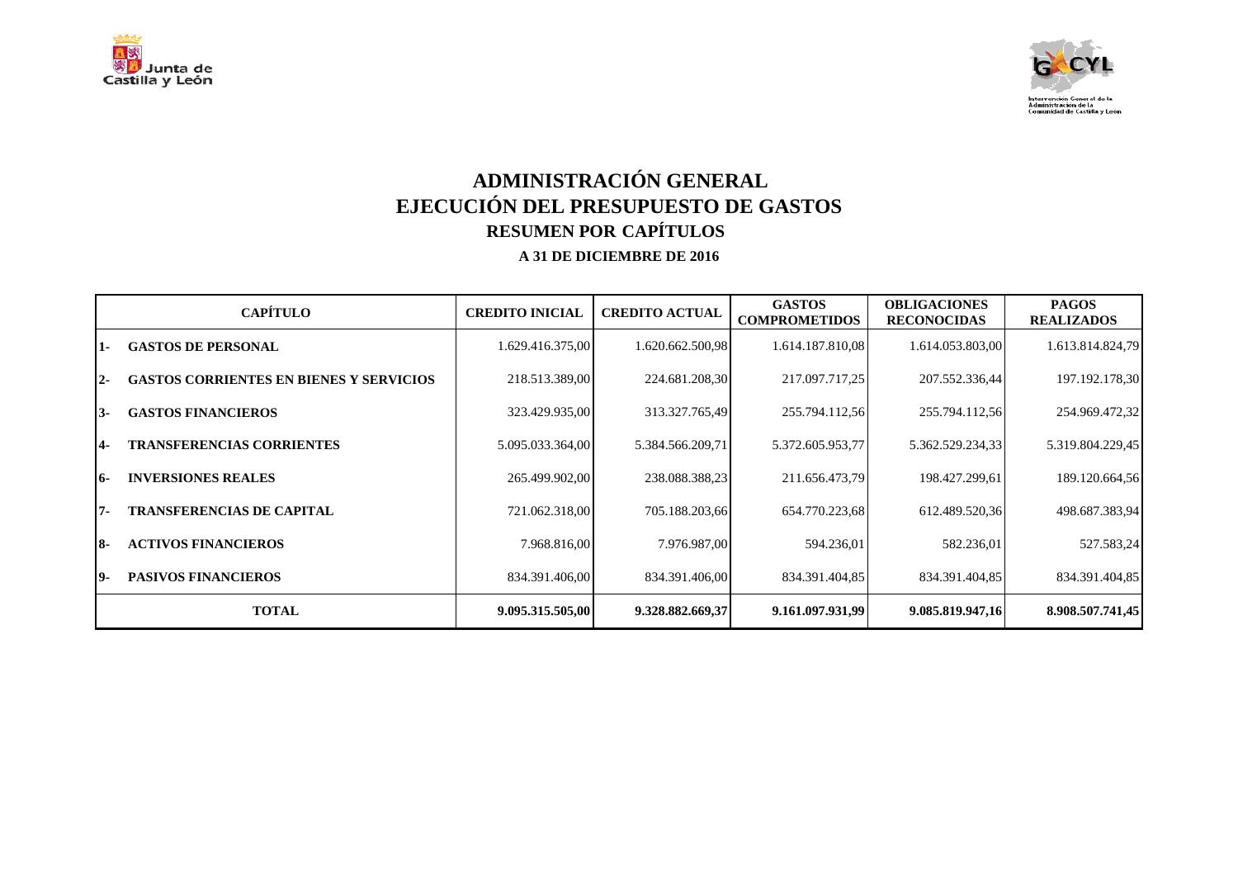



# **ADMINISTRACIÓN GENERAL EJECUCIÓN DEL PRESUPUESTO DE GASTOS RESUMEN POR CAPÍTULOS**

|       | <b>CAPÍTULO</b>                                | <b>CREDITO INICIAL</b> | <b>CREDITO ACTUAL</b> | <b>GASTOS</b><br><b>COMPROMETIDOS</b> | <b>OBLIGACIONES</b><br><b>RECONOCIDAS</b> | <b>PAGOS</b><br><b>REALIZADOS</b> |
|-------|------------------------------------------------|------------------------|-----------------------|---------------------------------------|-------------------------------------------|-----------------------------------|
| 1.    | <b>GASTOS DE PERSONAL</b>                      | 1.629.416.375,00       | 1.620.662.500,98      | 1.614.187.810,08                      | 1.614.053.803,00                          | 1.613.814.824,79                  |
| $12-$ | <b>GASTOS CORRIENTES EN BIENES Y SERVICIOS</b> | 218.513.389,00         | 224.681.208,30        | 217.097.717,25                        | 207.552.336,44                            | 197.192.178,30                    |
| I3-   | <b>GASTOS FINANCIEROS</b>                      | 323.429.935,00         | 313.327.765,49        | 255.794.112,56                        | 255.794.112,56                            | 254.969.472,32                    |
| 14-   | <b>TRANSFERENCIAS CORRIENTES</b>               | 5.095.033.364,00       | 5.384.566.209,71      | 5.372.605.953,77                      | 5.362.529.234,33                          | 5.319.804.229,45                  |
| 16-   | <b>INVERSIONES REALES</b>                      | 265.499.902,00         | 238.088.388,23        | 211.656.473,79                        | 198.427.299,61                            | 189.120.664,56                    |
| 17-   | <b>TRANSFERENCIAS DE CAPITAL</b>               | 721.062.318,00         | 705.188.203,66        | 654.770.223,68                        | 612.489.520,36                            | 498.687.383,94                    |
| I8-   | <b>ACTIVOS FINANCIEROS</b>                     | 7.968.816,00           | 7.976.987,00          | 594.236,01                            | 582.236,01                                | 527.583,24                        |
| 19-   | <b>PASIVOS FINANCIEROS</b>                     | 834.391.406,00         | 834.391.406,00        | 834.391.404,85                        | 834.391.404,85                            | 834.391.404,85                    |
|       | <b>TOTAL</b>                                   | 9.095.315.505,00       | 9.328.882.669,37      | 9.161.097.931.99                      | 9.085.819.947,16                          | 8.908.507.741,45                  |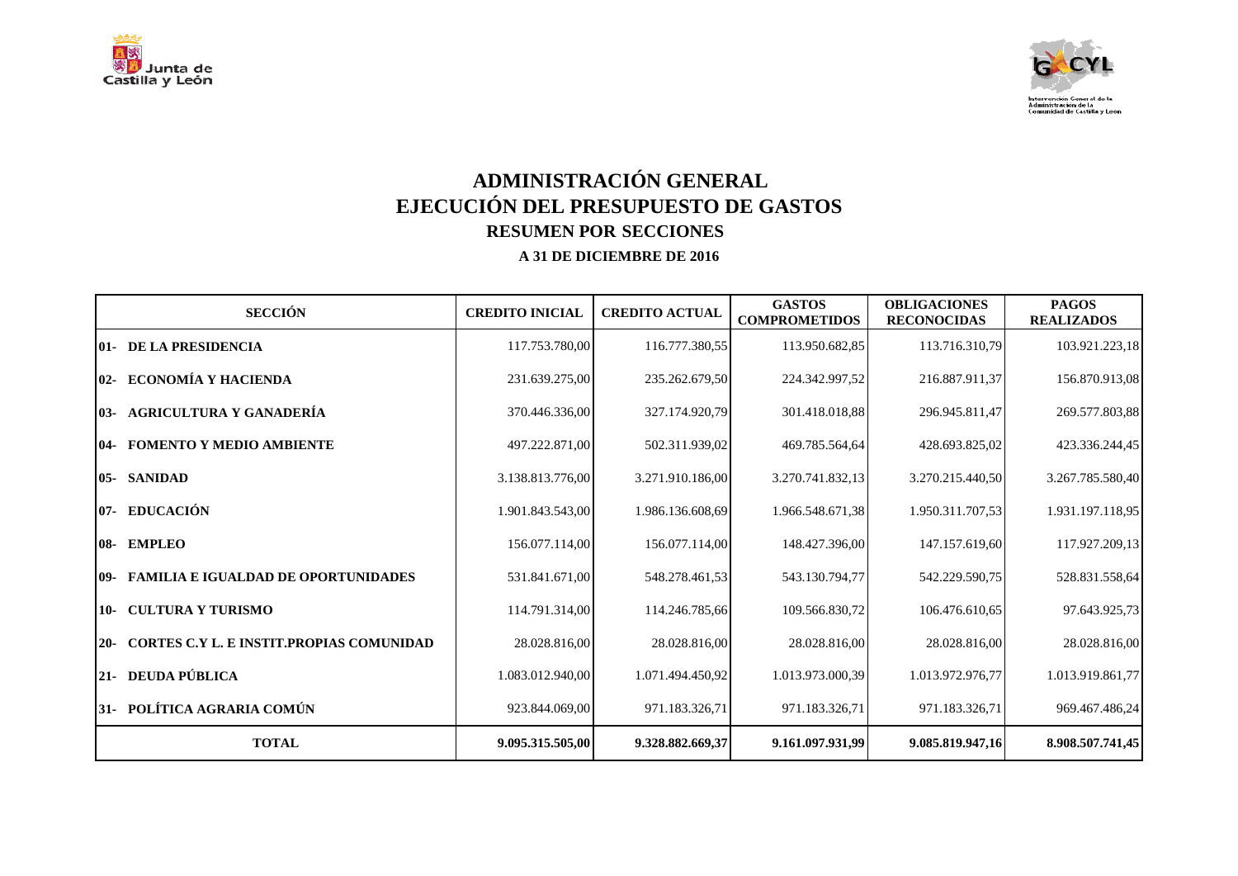



# **ADMINISTRACIÓN GENERAL EJECUCIÓN DEL PRESUPUESTO DE GASTOS RESUMEN POR SECCIONES**

| <b>SECCIÓN</b>                                           | <b>CREDITO INICIAL</b> | <b>CREDITO ACTUAL</b> | <b>GASTOS</b><br><b>COMPROMETIDOS</b> | <b>OBLIGACIONES</b><br><b>RECONOCIDAS</b> | <b>PAGOS</b><br><b>REALIZADOS</b> |
|----------------------------------------------------------|------------------------|-----------------------|---------------------------------------|-------------------------------------------|-----------------------------------|
| <b>01- DE LA PRESIDENCIA</b>                             | 117.753.780,00         | 116.777.380,55        | 113.950.682,85                        | 113.716.310,79                            | 103.921.223,18                    |
| 02- ECONOMÍA Y HACIENDA                                  | 231.639.275,00         | 235.262.679,50        | 224.342.997,52                        | 216.887.911,37                            | 156.870.913,08                    |
| 03- AGRICULTURA Y GANADERÍA                              | 370.446.336,00         | 327.174.920,79        | 301.418.018,88                        | 296.945.811,47                            | 269.577.803,88                    |
| <b>04- FOMENTO Y MEDIO AMBIENTE</b>                      | 497.222.871,00         | 502.311.939,02        | 469.785.564,64                        | 428.693.825,02                            | 423.336.244,45                    |
| 05- SANIDAD                                              | 3.138.813.776,00       | 3.271.910.186,00      | 3.270.741.832.13                      | 3.270.215.440,50                          | 3.267.785.580,40                  |
| 07- EDUCACIÓN                                            | 1.901.843.543,00       | 1.986.136.608,69      | 1.966.548.671,38                      | 1.950.311.707,53                          | 1.931.197.118,95                  |
| 08- EMPLEO                                               | 156.077.114,00         | 156.077.114,00        | 148.427.396,00                        | 147.157.619,60                            | 117.927.209,13                    |
| <b>109- FAMILIA E IGUALDAD DE OPORTUNIDADES</b>          | 531.841.671,00         | 548.278.461,53        | 543.130.794.77                        | 542.229.590,75                            | 528.831.558,64                    |
| 10- CULTURA Y TURISMO                                    | 114.791.314,00         | 114.246.785,66        | 109.566.830,72                        | 106.476.610,65                            | 97.643.925,73                     |
| <b>CORTES C.Y L. E INSTIT.PROPIAS COMUNIDAD</b><br>$20-$ | 28.028.816,00          | 28.028.816,00         | 28.028.816,00                         | 28.028.816,00                             | 28.028.816,00                     |
| 21- DEUDA PÚBLICA                                        | 1.083.012.940,00       | 1.071.494.450,92      | 1.013.973.000,39                      | 1.013.972.976,77                          | 1.013.919.861,77                  |
| 31- POLÍTICA AGRARIA COMÚN                               | 923.844.069,00         | 971.183.326,71        | 971.183.326,71                        | 971.183.326,71                            | 969.467.486,24                    |
| <b>TOTAL</b>                                             | 9.095.315.505,00       | 9.328.882.669,37      | 9.161.097.931,99                      | 9.085.819.947,16                          | 8.908.507.741,45                  |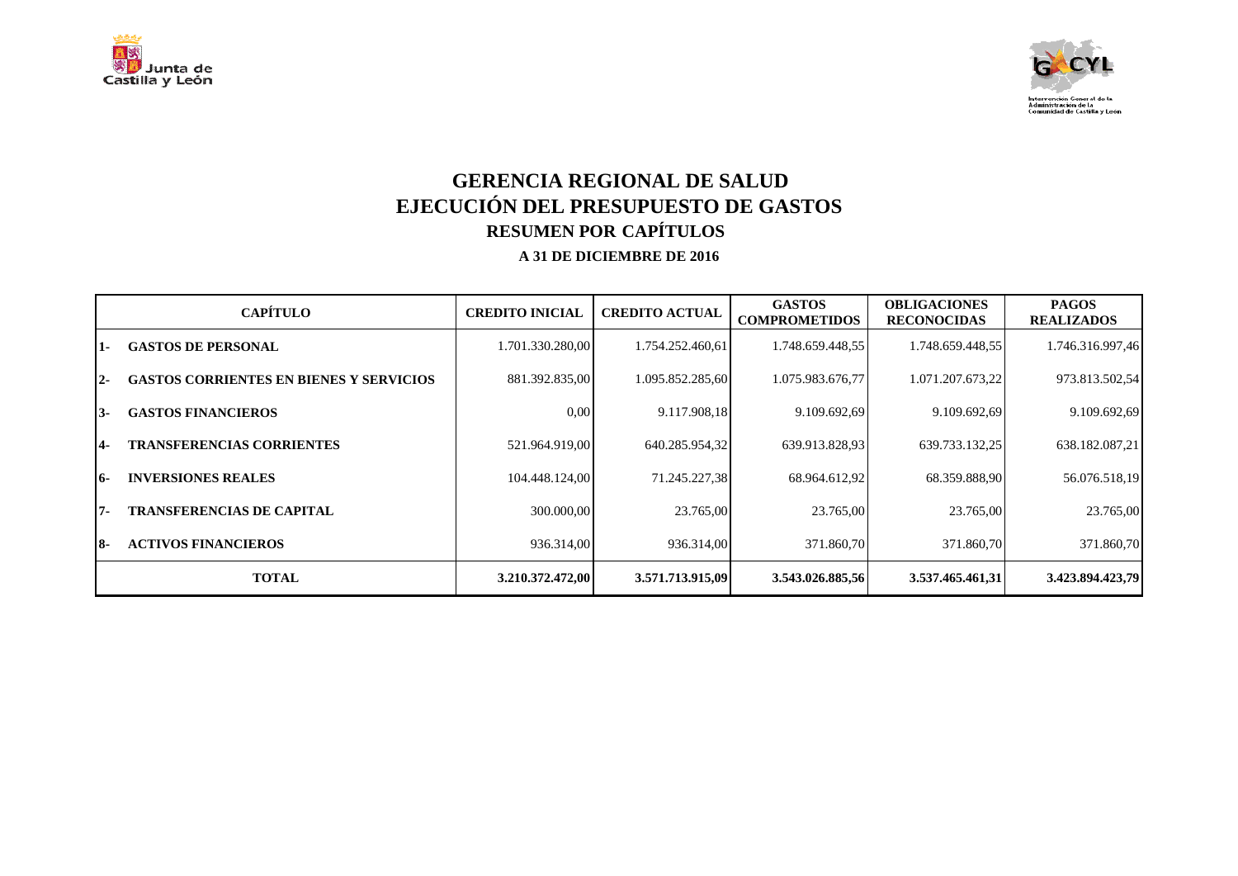



## **GERENCIA REGIONAL DE SALUD EJECUCIÓN DEL PRESUPUESTO DE GASTOS RESUMEN POR CAPÍTULOS**

|                 | <b>CAPÍTULO</b>                                | <b>CREDITO INICIAL</b> | <b>CREDITO ACTUAL</b> | <b>GASTOS</b><br><b>COMPROMETIDOS</b> | <b>OBLIGACIONES</b><br><b>RECONOCIDAS</b> | <b>PAGOS</b><br><b>REALIZADOS</b> |
|-----------------|------------------------------------------------|------------------------|-----------------------|---------------------------------------|-------------------------------------------|-----------------------------------|
| 11-             | <b>GASTOS DE PERSONAL</b>                      | 1.701.330.280,00       | 1.754.252.460,61      | 1.748.659.448,55                      | 1.748.659.448,55                          | 1.746.316.997,46                  |
| $12-$           | <b>GASTOS CORRIENTES EN BIENES Y SERVICIOS</b> | 881.392.835,00         | 1.095.852.285,60      | 1.075.983.676,77                      | 1.071.207.673,22                          | 973.813.502,54                    |
| 13-             | <b>GASTOS FINANCIEROS</b>                      | 0.00                   | 9.117.908,18          | 9.109.692,69                          | 9.109.692,69                              | 9.109.692,69                      |
| $\overline{14}$ | <b>TRANSFERENCIAS CORRIENTES</b>               | 521.964.919,00         | 640.285.954,32        | 639.913.828,93                        | 639.733.132,25                            | 638.182.087,21                    |
| 16-             | <b>INVERSIONES REALES</b>                      | 104.448.124,00         | 71.245.227,38         | 68.964.612,92                         | 68.359.888,90                             | 56.076.518,19                     |
| 17-             | <b>TRANSFERENCIAS DE CAPITAL</b>               | 300.000.00             | 23.765,00             | 23.765,00                             | 23.765,00                                 | 23.765,00                         |
| 18-             | <b>ACTIVOS FINANCIEROS</b>                     | 936.314,00             | 936.314,00            | 371.860,70                            | 371.860,70                                | 371.860,70                        |
|                 | <b>TOTAL</b>                                   | 3.210.372.472,00       | 3.571.713.915,09      | 3.543.026.885,56                      | 3.537.465.461,31                          | 3.423.894.423,79                  |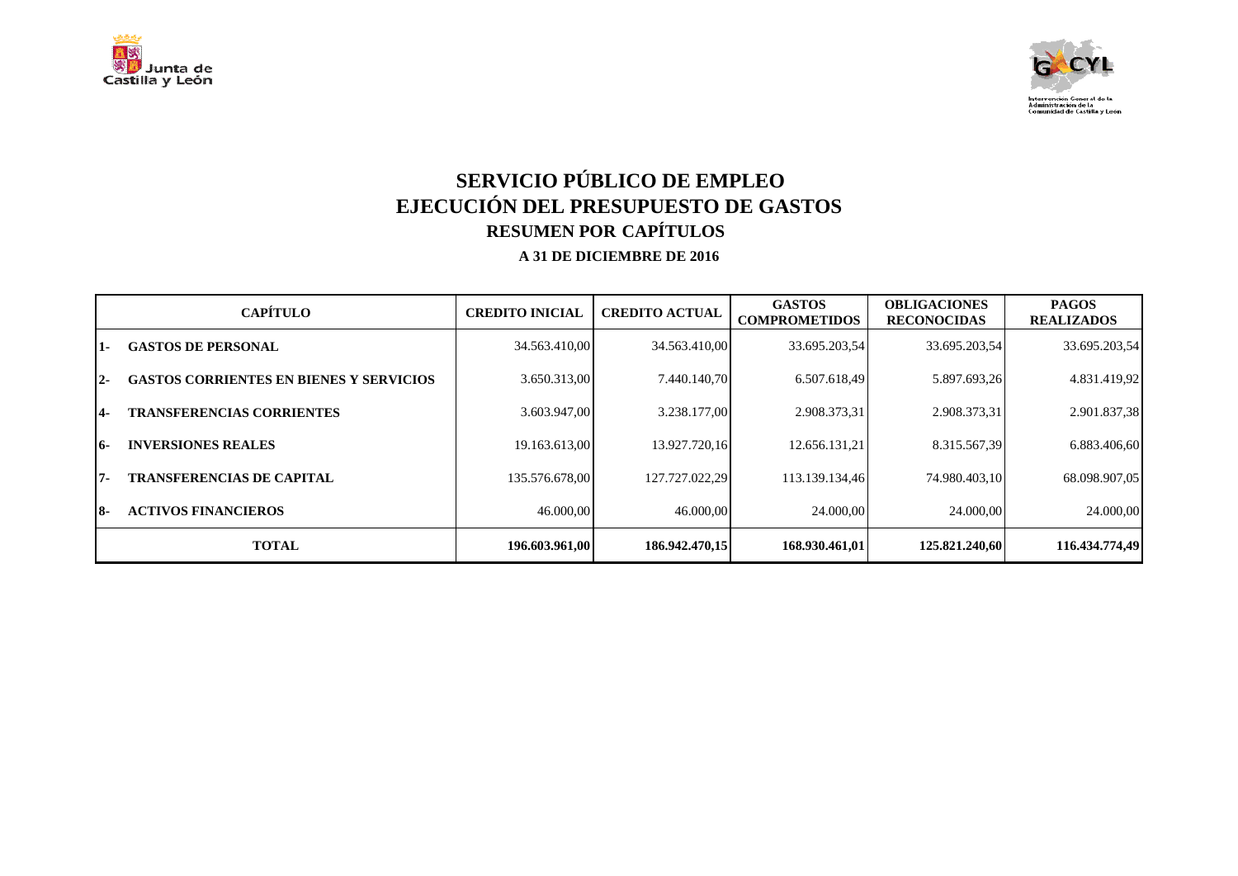



# **SERVICIO PÚBLICO DE EMPLEO EJECUCIÓN DEL PRESUPUESTO DE GASTOS RESUMEN POR CAPÍTULOS**

|                 | <b>CAPÍTULO</b>                                | <b>CREDITO INICIAL</b> | <b>CREDITO ACTUAL</b> | <b>GASTOS</b><br><b>COMPROMETIDOS</b> | <b>OBLIGACIONES</b><br><b>RECONOCIDAS</b> | <b>PAGOS</b><br><b>REALIZADOS</b> |
|-----------------|------------------------------------------------|------------------------|-----------------------|---------------------------------------|-------------------------------------------|-----------------------------------|
| 11-             | <b>GASTOS DE PERSONAL</b>                      | 34.563.410.00          | 34.563.410.00         | 33.695.203.54                         | 33.695.203,54                             | 33.695.203,54                     |
| $12-$           | <b>GASTOS CORRIENTES EN BIENES Y SERVICIOS</b> | 3.650.313.00           | 7.440.140.70          | 6.507.618,49                          | 5.897.693,26                              | 4.831.419,92                      |
| $\overline{14}$ | <b>TRANSFERENCIAS CORRIENTES</b>               | 3.603.947.00           | 3.238.177.00          | 2.908.373,31                          | 2.908.373,31                              | 2.901.837,38                      |
| 16-             | <b>INVERSIONES REALES</b>                      | 19.163.613.00          | 13.927.720.16         | 12.656.131.21                         | 8.315.567.39                              | 6.883.406,60                      |
| 17-             | <b>TRANSFERENCIAS DE CAPITAL</b>               | 135.576.678.00         | 127.727.022.29        | 113.139.134.46                        | 74.980.403.10                             | 68.098.907,05                     |
| 18-             | <b>ACTIVOS FINANCIEROS</b>                     | 46.000,00              | 46.000,00             | 24.000,00                             | 24,000,00                                 | 24.000,00                         |
|                 | <b>TOTAL</b>                                   | 196.603.961,00         | 186.942.470.15        | 168.930.461.01                        | 125.821.240.60                            | 116.434.774,49                    |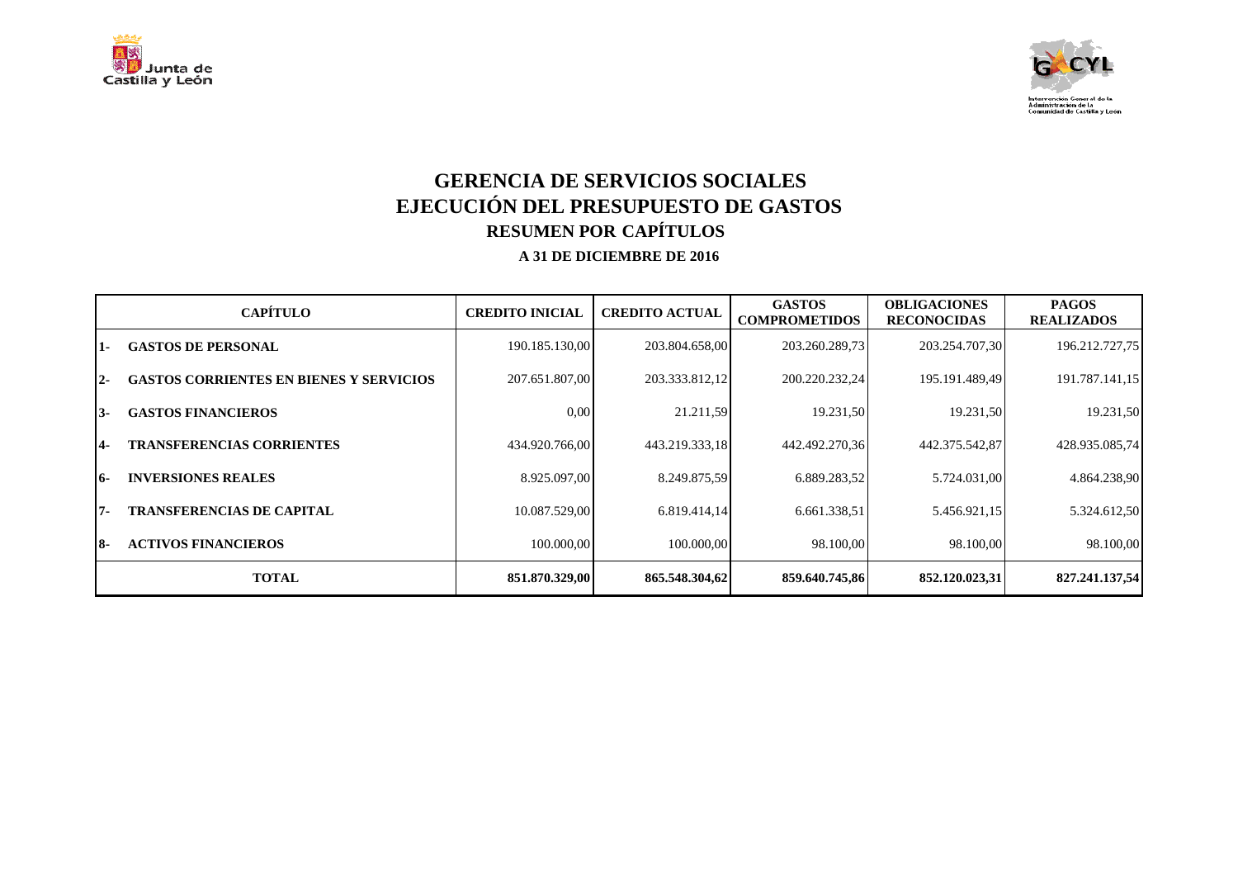



## **GERENCIA DE SERVICIOS SOCIALES EJECUCIÓN DEL PRESUPUESTO DE GASTOS RESUMEN POR CAPÍTULOS**

|       | <b>CAPÍTULO</b>                                | <b>CREDITO INICIAL</b> | <b>CREDITO ACTUAL</b> | <b>GASTOS</b><br><b>COMPROMETIDOS</b> | <b>OBLIGACIONES</b><br><b>RECONOCIDAS</b> | <b>PAGOS</b><br><b>REALIZADOS</b> |
|-------|------------------------------------------------|------------------------|-----------------------|---------------------------------------|-------------------------------------------|-----------------------------------|
| 1-    | <b>GASTOS DE PERSONAL</b>                      | 190.185.130,00         | 203.804.658,00        | 203.260.289,73                        | 203.254.707,30                            | 196.212.727,75                    |
| $12-$ | <b>GASTOS CORRIENTES EN BIENES Y SERVICIOS</b> | 207.651.807,00         | 203.333.812,12        | 200.220.232,24                        | 195.191.489,49                            | 191.787.141,15                    |
| I3-   | <b>GASTOS FINANCIEROS</b>                      | 0.00                   | 21.211,59             | 19.231,50                             | 19.231,50                                 | 19.231,50                         |
| 14-   | <b>TRANSFERENCIAS CORRIENTES</b>               | 434.920.766,00         | 443.219.333,18        | 442.492.270,36                        | 442.375.542,87                            | 428.935.085,74                    |
| 16-   | <b>INVERSIONES REALES</b>                      | 8.925.097,00           | 8.249.875.59          | 6.889.283,52                          | 5.724.031,00                              | 4.864.238,90                      |
| 17-   | <b>TRANSFERENCIAS DE CAPITAL</b>               | 10.087.529.00          | 6.819.414,14          | 6.661.338,51                          | 5.456.921,15                              | 5.324.612,50                      |
| 18-   | <b>ACTIVOS FINANCIEROS</b>                     | 100.000,00             | 100.000,00            | 98.100,00                             | 98.100,00                                 | 98.100,00                         |
|       | <b>TOTAL</b>                                   | 851.870.329,00         | 865.548.304,62        | 859.640.745,86                        | 852,120,023,31                            | 827.241.137,54                    |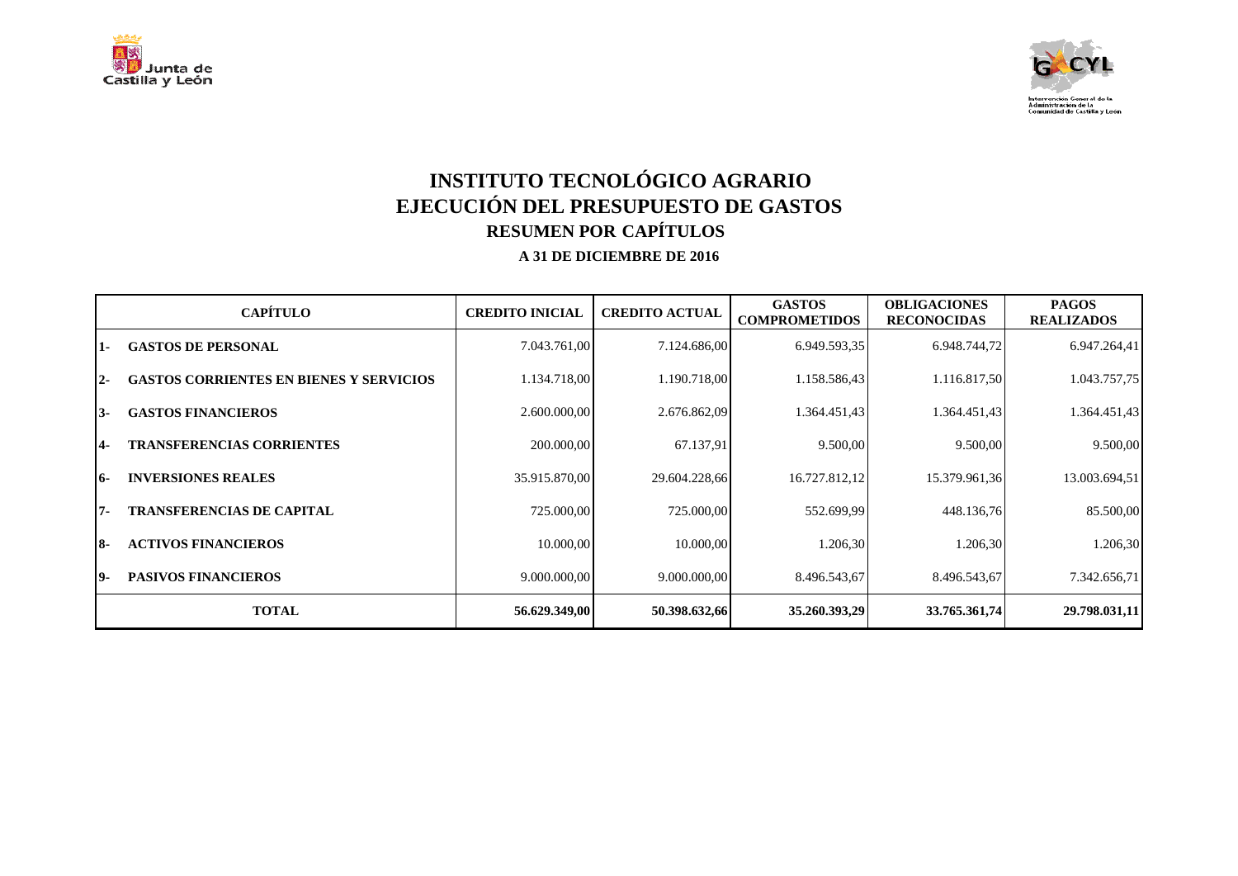



# **INSTITUTO TECNOLÓGICO AGRARIO EJECUCIÓN DEL PRESUPUESTO DE GASTOS RESUMEN POR CAPÍTULOS**

|       | <b>CAPÍTULO</b>                                | <b>CREDITO INICIAL</b> | <b>CREDITO ACTUAL</b> | <b>GASTOS</b><br><b>COMPROMETIDOS</b> | <b>OBLIGACIONES</b><br><b>RECONOCIDAS</b> | <b>PAGOS</b><br><b>REALIZADOS</b> |
|-------|------------------------------------------------|------------------------|-----------------------|---------------------------------------|-------------------------------------------|-----------------------------------|
| 11-   | <b>GASTOS DE PERSONAL</b>                      | 7.043.761,00           | 7.124.686,00          | 6.949.593,35                          | 6.948.744,72                              | 6.947.264,41                      |
| $12-$ | <b>GASTOS CORRIENTES EN BIENES Y SERVICIOS</b> | 1.134.718,00           | 1.190.718,00          | 1.158.586,43                          | 1.116.817,50                              | 1.043.757,75                      |
| 13-   | <b>GASTOS FINANCIEROS</b>                      | 2.600.000,00           | 2.676.862,09          | 1.364.451,43                          | 1.364.451,43                              | 1.364.451,43                      |
| 14-   | <b>TRANSFERENCIAS CORRIENTES</b>               | 200.000,00             | 67.137,91             | 9.500,00                              | 9.500,00                                  | 9.500,00                          |
| 16-   | <b>INVERSIONES REALES</b>                      | 35.915.870,00          | 29.604.228,66         | 16.727.812,12                         | 15.379.961,36                             | 13.003.694,51                     |
| 17-   | <b>TRANSFERENCIAS DE CAPITAL</b>               | 725.000,00             | 725.000,00            | 552.699,99                            | 448.136,76                                | 85.500,00                         |
| I8-   | <b>ACTIVOS FINANCIEROS</b>                     | 10.000,00              | 10.000,00             | 1.206,30                              | 1.206,30                                  | 1.206,30                          |
| 19-   | <b>PASIVOS FINANCIEROS</b>                     | 9.000.000,00           | 9.000.000,00          | 8.496.543,67                          | 8.496.543,67                              | 7.342.656,71                      |
|       | <b>TOTAL</b>                                   | 56.629.349,00          | 50.398.632,66         | 35.260.393,29                         | 33.765.361,74                             | 29.798.031,11                     |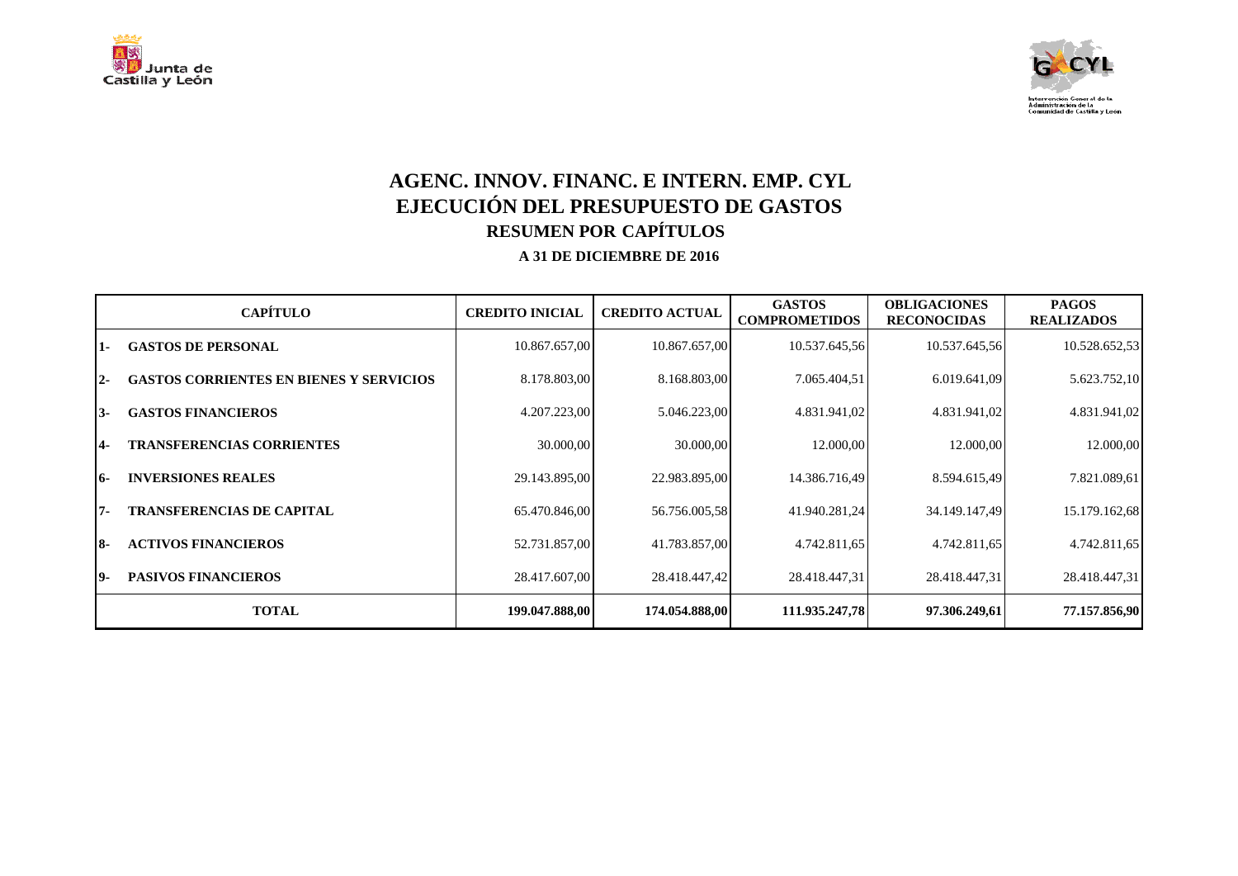



## **AGENC. INNOV. FINANC. E INTERN. EMP. CYL EJECUCIÓN DEL PRESUPUESTO DE GASTOS RESUMEN POR CAPÍTULOS**

|       | <b>CAPÍTULO</b>                                | <b>CREDITO INICIAL</b> | <b>CREDITO ACTUAL</b> | <b>GASTOS</b><br><b>COMPROMETIDOS</b> | <b>OBLIGACIONES</b><br><b>RECONOCIDAS</b> | <b>PAGOS</b><br><b>REALIZADOS</b> |
|-------|------------------------------------------------|------------------------|-----------------------|---------------------------------------|-------------------------------------------|-----------------------------------|
| 1.    | <b>GASTOS DE PERSONAL</b>                      | 10.867.657,00          | 10.867.657,00         | 10.537.645,56                         | 10.537.645,56                             | 10.528.652,53                     |
| $12-$ | <b>GASTOS CORRIENTES EN BIENES Y SERVICIOS</b> | 8.178.803,00           | 8.168.803,00          | 7.065.404,51                          | 6.019.641,09                              | 5.623.752,10                      |
| I3-   | <b>GASTOS FINANCIEROS</b>                      | 4.207.223,00           | 5.046.223,00          | 4.831.941,02                          | 4.831.941,02                              | 4.831.941,02                      |
| 14-   | <b>TRANSFERENCIAS CORRIENTES</b>               | 30.000,00              | 30.000,00             | 12.000,00                             | 12.000,00                                 | 12.000,00                         |
| 16-   | <b>INVERSIONES REALES</b>                      | 29.143.895,00          | 22.983.895,00         | 14.386.716,49                         | 8.594.615,49                              | 7.821.089,61                      |
| 17-   | <b>TRANSFERENCIAS DE CAPITAL</b>               | 65.470.846,00          | 56.756.005,58         | 41.940.281,24                         | 34.149.147,49                             | 15.179.162,68                     |
| 18-   | <b>ACTIVOS FINANCIEROS</b>                     | 52.731.857,00          | 41.783.857,00         | 4.742.811,65                          | 4.742.811,65                              | 4.742.811,65                      |
| 19-   | <b>PASIVOS FINANCIEROS</b>                     | 28.417.607,00          | 28.418.447,42         | 28.418.447,31                         | 28.418.447,31                             | 28.418.447,31                     |
|       | <b>TOTAL</b>                                   | 199.047.888,00         | 174.054.888,00        | 111.935.247,78                        | 97.306.249,61                             | 77.157.856,90                     |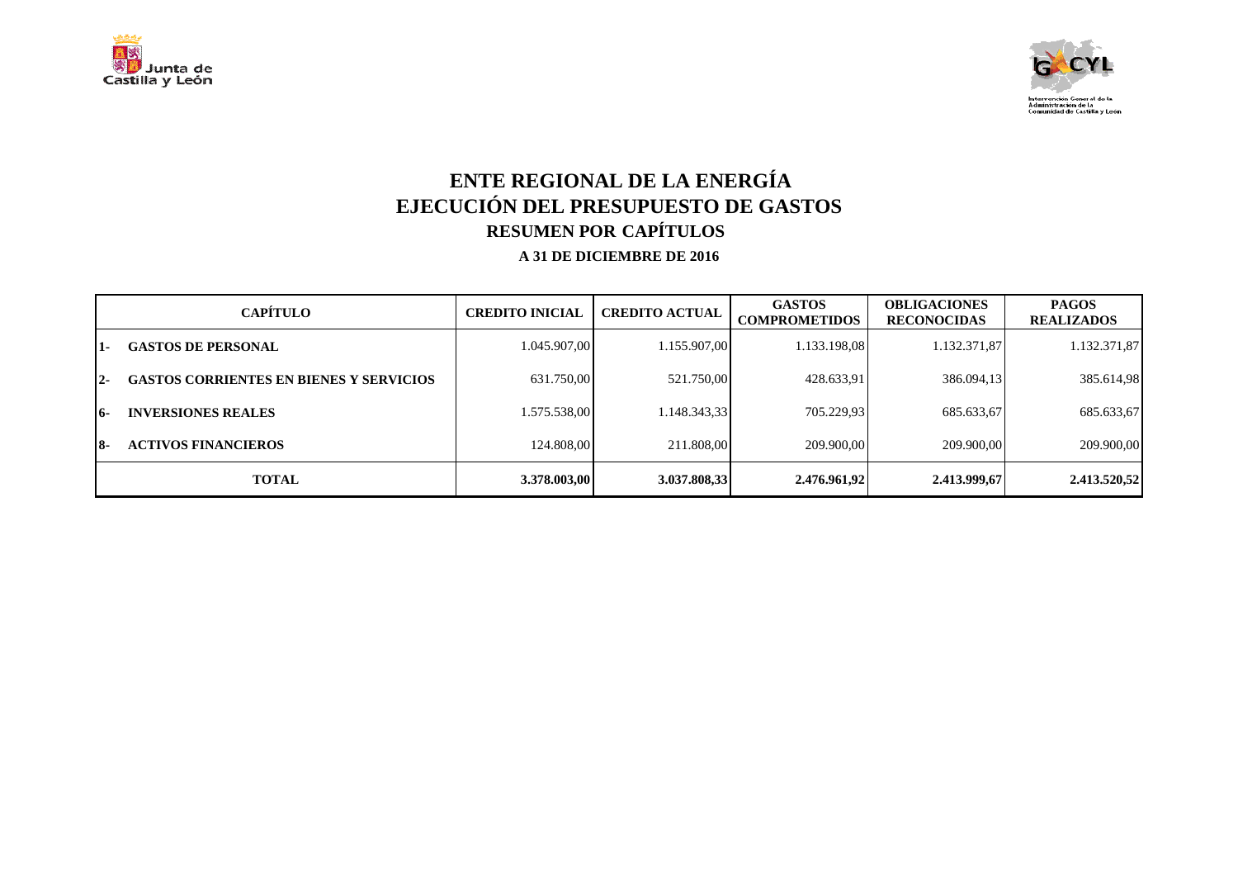



# **ENTE REGIONAL DE LA ENERGÍA EJECUCIÓN DEL PRESUPUESTO DE GASTOS RESUMEN POR CAPÍTULOS**

|       | <b>CAPÍTULO</b>                                | <b>CREDITO INICIAL</b> | <b>CREDITO ACTUAL</b> | <b>GASTOS</b><br><b>COMPROMETIDOS</b> | <b>OBLIGACIONES</b><br><b>RECONOCIDAS</b> | <b>PAGOS</b><br><b>REALIZADOS</b> |
|-------|------------------------------------------------|------------------------|-----------------------|---------------------------------------|-------------------------------------------|-----------------------------------|
| $1 -$ | <b>GASTOS DE PERSONAL</b>                      | 1.045.907,00           | 1.155.907,00          | 1.133.198,08                          | 1.132.371,87                              | 1.132.371,87                      |
| $2 -$ | <b>GASTOS CORRIENTES EN BIENES Y SERVICIOS</b> | 631.750,00             | 521.750,00            | 428.633,91                            | 386.094,13                                | 385.614,98                        |
| 16-   | <b>INVERSIONES REALES</b>                      | 1.575.538,00           | 1.148.343,33          | 705.229,93                            | 685.633,67                                | 685.633,67                        |
| 18-   | <b>ACTIVOS FINANCIEROS</b>                     | 124.808.00             | 211.808.00            | 209.900.00                            | 209.900,00                                | 209.900,00                        |
|       | <b>TOTAL</b>                                   | 3.378.003,00           | 3.037.808,33          | 2.476.961,92                          | 2.413.999,67                              | 2.413.520,52                      |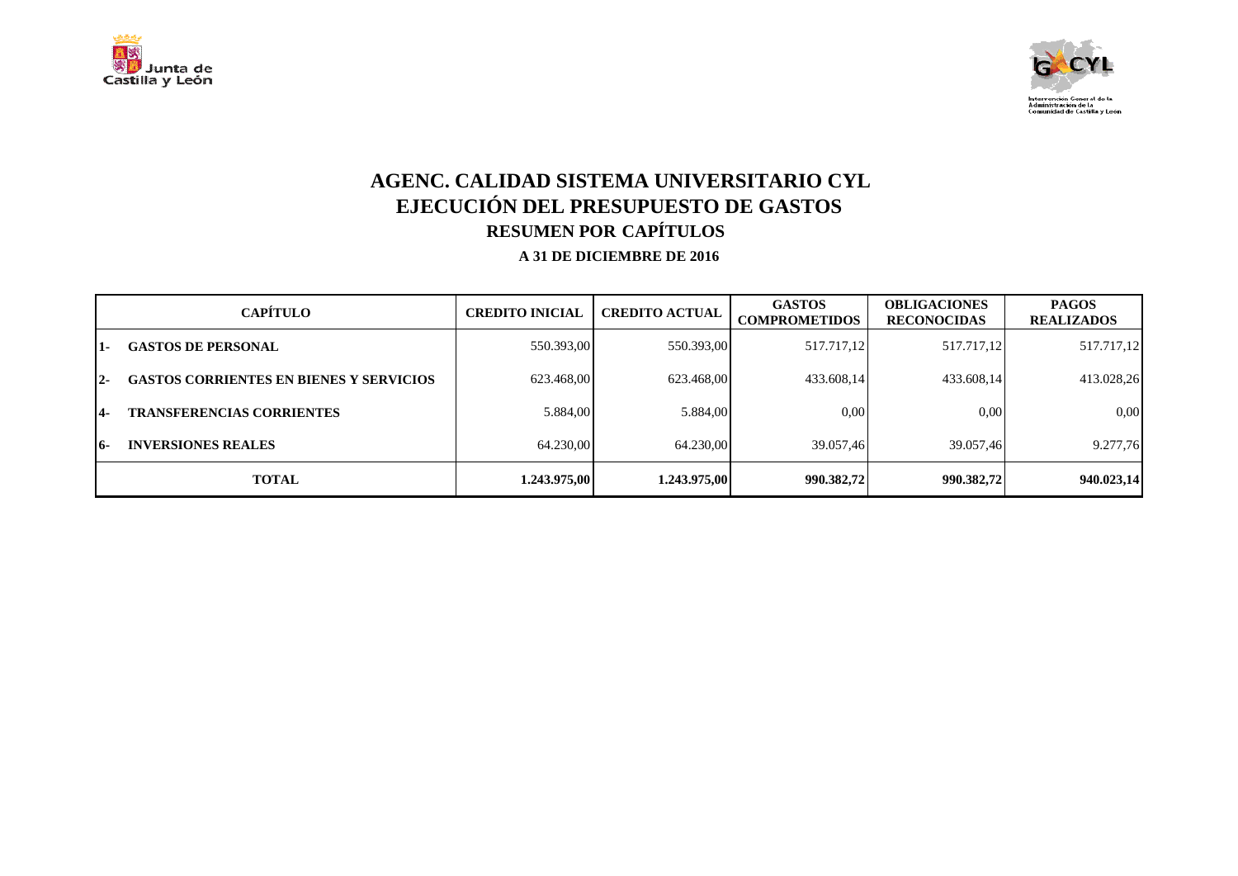



## **AGENC. CALIDAD SISTEMA UNIVERSITARIO CYL EJECUCIÓN DEL PRESUPUESTO DE GASTOS RESUMEN POR CAPÍTULOS**

|       | <b>CAPÍTULO</b>                                | <b>CREDITO INICIAL</b> | <b>CREDITO ACTUAL</b> | <b>GASTOS</b><br><b>COMPROMETIDOS</b> | <b>OBLIGACIONES</b><br><b>RECONOCIDAS</b> | <b>PAGOS</b><br><b>REALIZADOS</b> |
|-------|------------------------------------------------|------------------------|-----------------------|---------------------------------------|-------------------------------------------|-----------------------------------|
| $1 -$ | <b>GASTOS DE PERSONAL</b>                      | 550.393,00             | 550.393,00            | 517.717,12                            | 517.717,12                                | 517.717,12                        |
| $2 -$ | <b>GASTOS CORRIENTES EN BIENES Y SERVICIOS</b> | 623.468,00             | 623.468,00            | 433.608.14                            | 433.608,14                                | 413.028,26                        |
| 14-   | <b>TRANSFERENCIAS CORRIENTES</b>               | 5.884,00               | 5.884,00              | 0,00                                  | 0.00                                      | 0,00                              |
| 16-   | <b>INVERSIONES REALES</b>                      | 64.230,00              | 64.230,00             | 39.057.46                             | 39.057.46                                 | 9.277,76                          |
|       | <b>TOTAL</b>                                   | 1.243.975,00           | 1.243.975,00          | 990.382,72                            | 990.382,72                                | 940.023,14                        |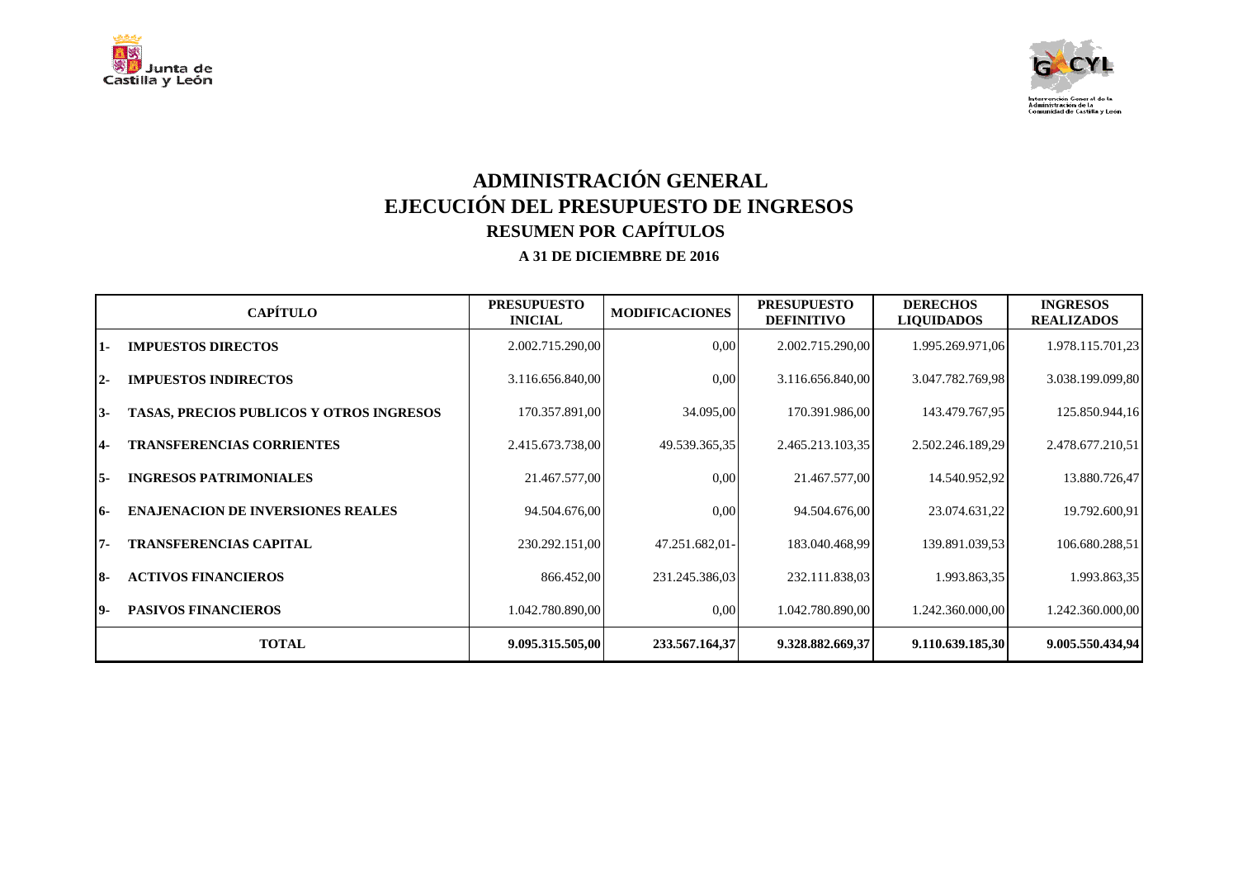



## **ADMINISTRACIÓN GENERAL EJECUCIÓN DEL PRESUPUESTO DE INGRESOS RESUMEN POR CAPÍTULOS**

|            | <b>CAPÍTULO</b>                                 | <b>PRESUPUESTO</b><br><b>INICIAL</b> | <b>MODIFICACIONES</b> | <b>PRESUPUESTO</b><br><b>DEFINITIVO</b> | <b>DERECHOS</b><br><b>LIQUIDADOS</b> | <b>INGRESOS</b><br><b>REALIZADOS</b> |
|------------|-------------------------------------------------|--------------------------------------|-----------------------|-----------------------------------------|--------------------------------------|--------------------------------------|
| 1-         | <b>IMPUESTOS DIRECTOS</b>                       | 2.002.715.290,00                     | 0,00                  | 2.002.715.290,00                        | 1.995.269.971,06                     | 1.978.115.701,23                     |
| $2 -$      | <b>IMPUESTOS INDIRECTOS</b>                     | 3.116.656.840,00                     | 0,00                  | 3.116.656.840,00                        | 3.047.782.769,98                     | 3.038.199.099,80                     |
| 13-        | <b>TASAS, PRECIOS PUBLICOS Y OTROS INGRESOS</b> | 170.357.891,00                       | 34.095,00             | 170.391.986,00                          | 143.479.767,95                       | 125.850.944,16                       |
| <b>14-</b> | <b>TRANSFERENCIAS CORRIENTES</b>                | 2.415.673.738,00                     | 49.539.365,35         | 2.465.213.103,35                        | 2.502.246.189,29                     | 2.478.677.210,51                     |
| I5-        | <b>INGRESOS PATRIMONIALES</b>                   | 21.467.577,00                        | 0,00                  | 21.467.577,00                           | 14.540.952,92                        | 13.880.726,47                        |
| 16-        | <b>ENAJENACION DE INVERSIONES REALES</b>        | 94.504.676,00                        | 0,00                  | 94.504.676,00                           | 23.074.631,22                        | 19.792.600,91                        |
| 17-        | <b>TRANSFERENCIAS CAPITAL</b>                   | 230.292.151,00                       | 47.251.682,01-        | 183.040.468.99                          | 139.891.039,53                       | 106.680.288,51                       |
| 18-        | <b>ACTIVOS FINANCIEROS</b>                      | 866.452,00                           | 231.245.386,03        | 232.111.838,03                          | 1.993.863,35                         | 1.993.863,35                         |
| 19-        | <b>PASIVOS FINANCIEROS</b>                      | 1.042.780.890,00                     | 0,00                  | 1.042.780.890,00                        | 1.242.360.000,00                     | 1.242.360.000,00                     |
|            | <b>TOTAL</b>                                    | 9.095.315.505,00                     | 233.567.164,37        | 9.328.882.669,37                        | 9.110.639.185,30                     | 9.005.550.434,94                     |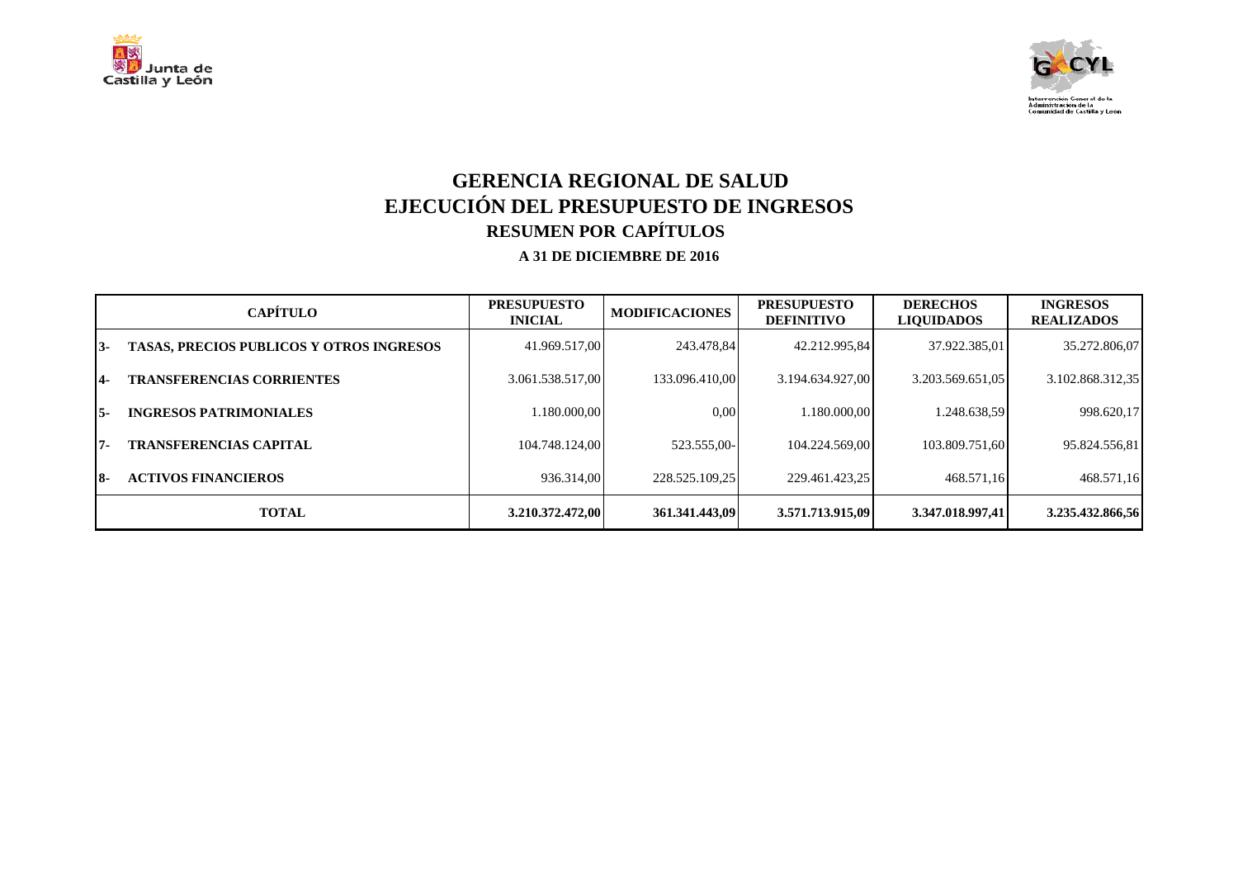



## **GERENCIA REGIONAL DE SALUD EJECUCIÓN DEL PRESUPUESTO DE INGRESOS RESUMEN POR CAPÍTULOS**

|      | <b>CAPÍTULO</b>                                 | <b>PRESUPUESTO</b><br><b>INICIAL</b> | <b>MODIFICACIONES</b> | <b>PRESUPUESTO</b><br><b>DEFINITIVO</b> | <b>DERECHOS</b><br><b>LIQUIDADOS</b> | <b>INGRESOS</b><br><b>REALIZADOS</b> |
|------|-------------------------------------------------|--------------------------------------|-----------------------|-----------------------------------------|--------------------------------------|--------------------------------------|
| 13-  | <b>TASAS, PRECIOS PUBLICOS Y OTROS INGRESOS</b> | 41.969.517.00                        | 243.478.84            | 42.212.995.84                           | 37.922.385,01                        | 35.272.806,07                        |
| $4-$ | <b>TRANSFERENCIAS CORRIENTES</b>                | 3.061.538.517,00                     | 133.096.410.00        | 3.194.634.927.00                        | 3.203.569.651.05                     | 3.102.868.312,35                     |
| I5-  | <b>INGRESOS PATRIMONIALES</b>                   | 1.180.000.00                         | 0.00                  | 1.180.000.00                            | 1.248.638.59                         | 998.620,17                           |
| 17-  | <b>TRANSFERENCIAS CAPITAL</b>                   | 104.748.124.00                       | 523.555.00-           | 104.224.569.00                          | 103.809.751.60                       | 95.824.556,81                        |
| 18-  | <b>ACTIVOS FINANCIEROS</b>                      | 936.314.00                           | 228.525.109,25        | 229.461.423.25                          | 468.571.16                           | 468.571,16                           |
|      | <b>TOTAL</b>                                    | 3.210.372.472,00                     | 361.341.443.09        | 3.571.713.915.09                        | 3.347.018.997.41                     | 3.235.432.866,56                     |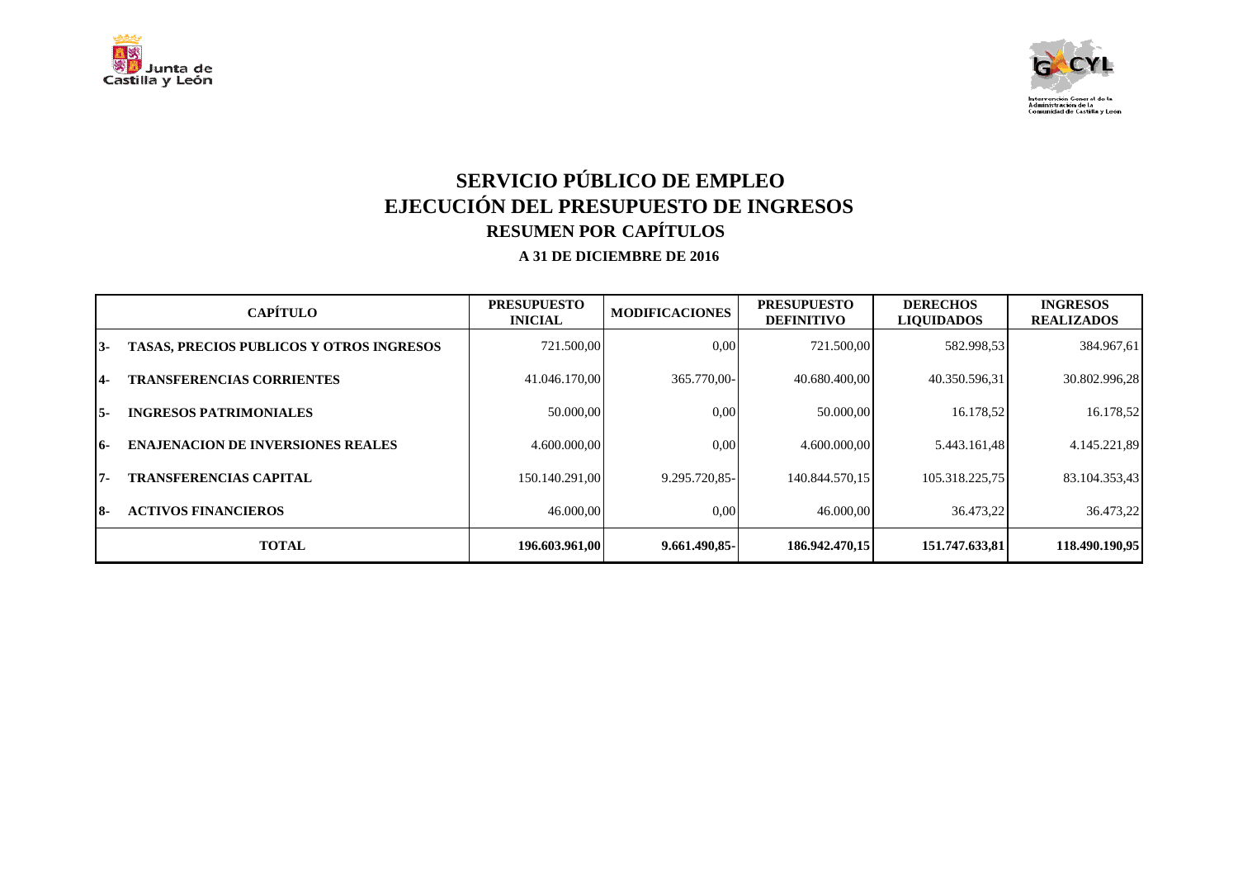



## **SERVICIO PÚBLICO DE EMPLEO EJECUCIÓN DEL PRESUPUESTO DE INGRESOS RESUMEN POR CAPÍTULOS**

|     | <b>CAPÍTULO</b>                                 | <b>PRESUPUESTO</b><br><b>INICIAL</b> | <b>MODIFICACIONES</b> | <b>PRESUPUESTO</b><br><b>DEFINITIVO</b> | <b>DERECHOS</b><br><b>LIQUIDADOS</b> | <b>INGRESOS</b><br><b>REALIZADOS</b> |
|-----|-------------------------------------------------|--------------------------------------|-----------------------|-----------------------------------------|--------------------------------------|--------------------------------------|
| 13- | <b>TASAS, PRECIOS PUBLICOS Y OTROS INGRESOS</b> | 721.500,00                           | 0.00                  | 721.500,00                              | 582.998,53                           | 384.967,61                           |
| 14- | <b>TRANSFERENCIAS CORRIENTES</b>                | 41.046.170.00                        | 365.770.00-           | 40.680.400,00                           | 40.350.596,31                        | 30.802.996,28                        |
| 15- | <b>INGRESOS PATRIMONIALES</b>                   | 50.000,00                            | 0.00                  | 50.000,00                               | 16.178.52                            | 16.178,52                            |
| 16- | <b>ENAJENACION DE INVERSIONES REALES</b>        | 4.600.000.00                         | 0.00                  | 4.600.000.00                            | 5.443.161,48                         | 4.145.221,89                         |
| 17- | <b>TRANSFERENCIAS CAPITAL</b>                   | 150.140.291.00                       | 9.295.720.85-         | 140.844.570.15                          | 105.318.225,75                       | 83.104.353,43                        |
| I8- | <b>ACTIVOS FINANCIEROS</b>                      | 46.000,00                            | $0.00\,$              | 46.000,00                               | 36.473.22                            | 36.473,22                            |
|     | <b>TOTAL</b>                                    | 196.603.961.00                       | 9.661.490.85-         | 186.942.470.15                          | 151.747.633.81                       | 118.490.190.95                       |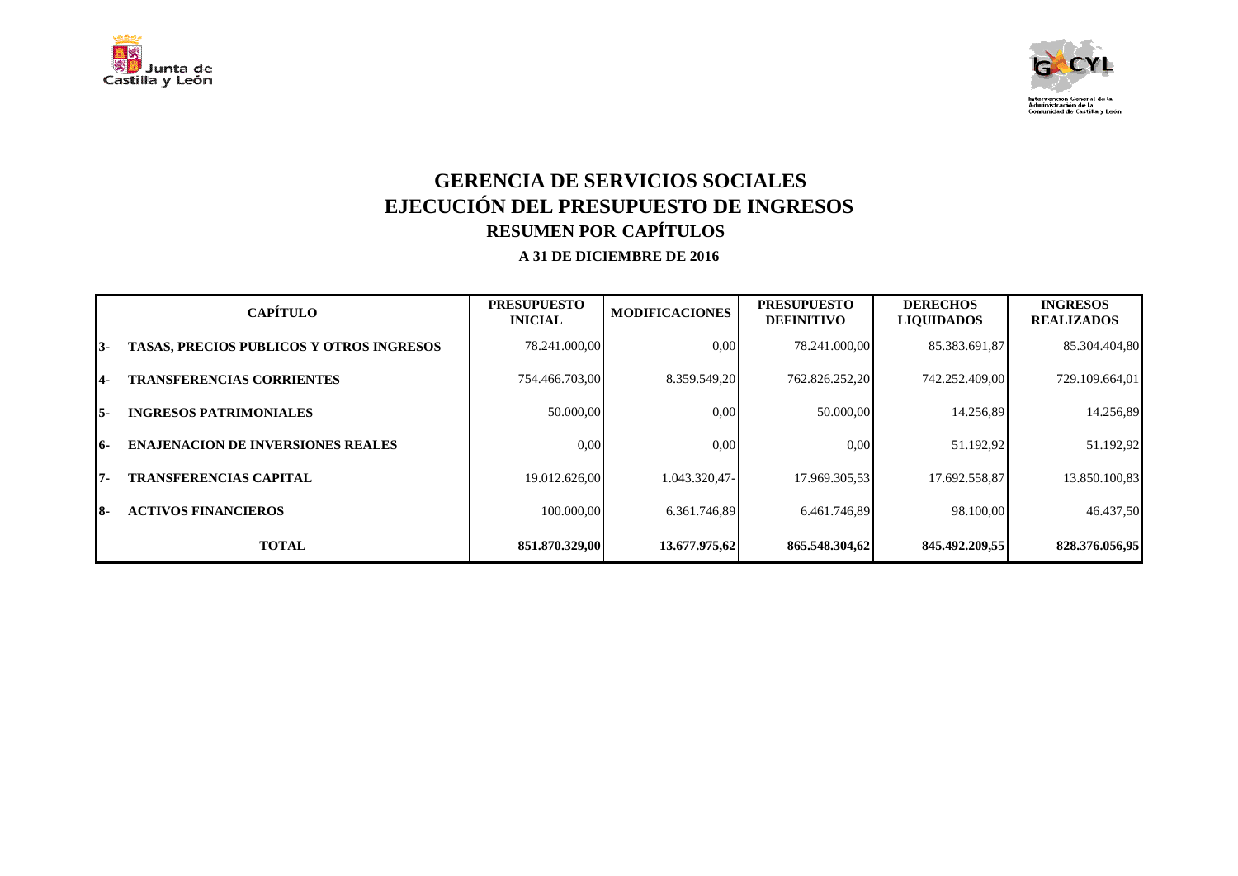



## **GERENCIA DE SERVICIOS SOCIALES EJECUCIÓN DEL PRESUPUESTO DE INGRESOS RESUMEN POR CAPÍTULOS**

|     | <b>CAPÍTULO</b>                                 | <b>PRESUPUESTO</b><br><b>INICIAL</b> | <b>MODIFICACIONES</b> | <b>PRESUPUESTO</b><br><b>DEFINITIVO</b> | <b>DERECHOS</b><br><b>LIQUIDADOS</b> | <b>INGRESOS</b><br><b>REALIZADOS</b> |
|-----|-------------------------------------------------|--------------------------------------|-----------------------|-----------------------------------------|--------------------------------------|--------------------------------------|
| 13- | <b>TASAS, PRECIOS PUBLICOS Y OTROS INGRESOS</b> | 78.241.000.00                        | 0.00                  | 78.241.000.00                           | 85.383.691,87                        | 85.304.404,80                        |
| 14- | <b>TRANSFERENCIAS CORRIENTES</b>                | 754.466.703.00                       | 8.359.549.20          | 762.826.252,20                          | 742.252.409.00                       | 729.109.664,01                       |
| I5- | <b>INGRESOS PATRIMONIALES</b>                   | 50.000,00                            | 0.00                  | 50.000,00                               | 14.256,89                            | 14.256,89                            |
| 16- | <b>ENAJENACION DE INVERSIONES REALES</b>        | 0.00                                 | 0.00                  | 0.00                                    | 51.192,92                            | 51.192,92                            |
| 17- | <b>TRANSFERENCIAS CAPITAL</b>                   | 19.012.626.00                        | 1.043.320.47-         | 17.969.305.53                           | 17.692.558,87                        | 13.850.100,83                        |
| 18- | <b>ACTIVOS FINANCIEROS</b>                      | 100.000.00                           | 6.361.746.89          | 6.461.746.89                            | 98.100.00                            | 46.437,50                            |
|     | <b>TOTAL</b>                                    | 851.870.329.00                       | 13.677.975.62         | 865.548.304.62                          | 845.492.209.55                       | 828.376.056.95                       |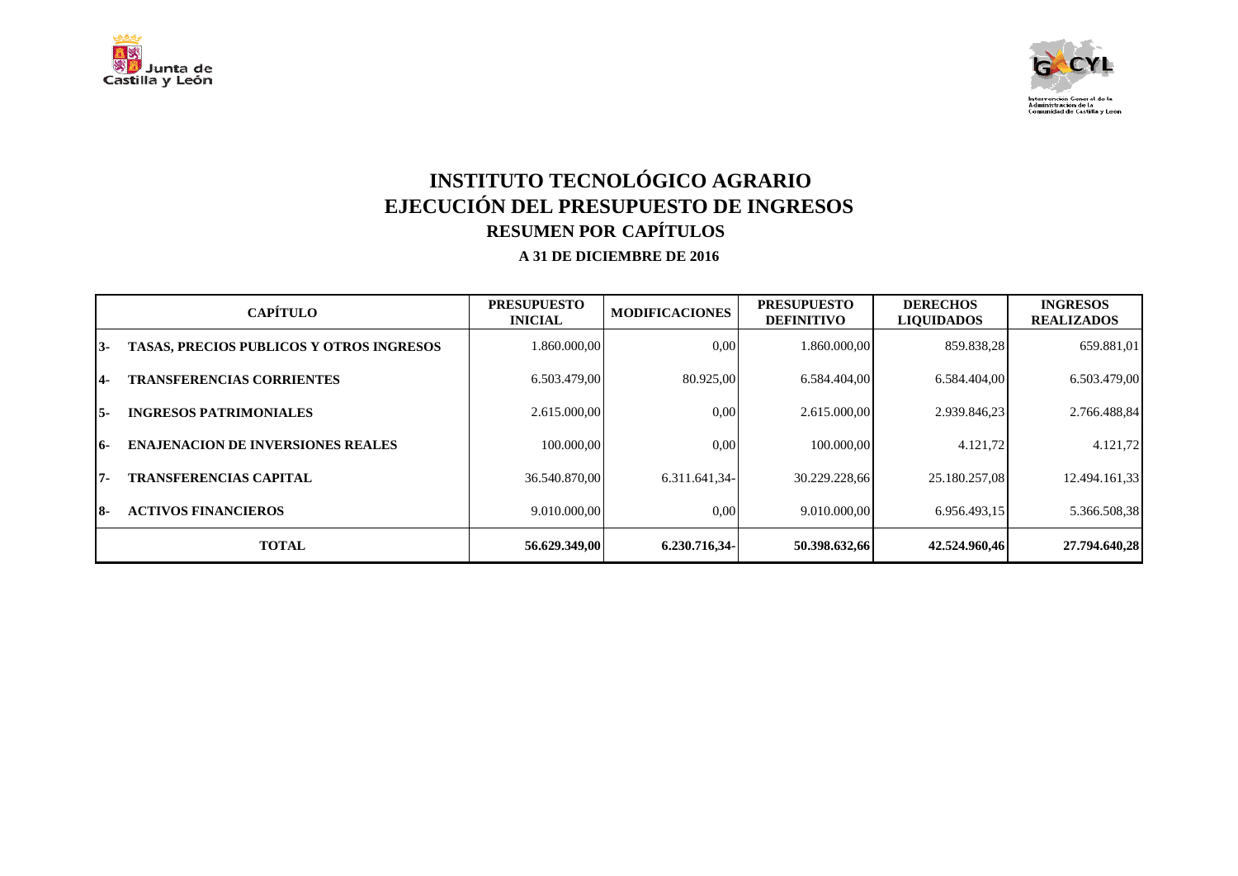



## **INSTITUTO TECNOLÓGICO AGRARIO EJECUCIÓN DEL PRESUPUESTO DE INGRESOS RESUMEN POR CAPÍTULOS**

|     | <b>CAPÍTULO</b>                                 | <b>PRESUPUESTO</b><br><b>INICIAL</b> | <b>MODIFICACIONES</b> | <b>PRESUPUESTO</b><br><b>DEFINITIVO</b> | <b>DERECHOS</b><br><b>LIQUIDADOS</b> | <b>INGRESOS</b><br><b>REALIZADOS</b> |
|-----|-------------------------------------------------|--------------------------------------|-----------------------|-----------------------------------------|--------------------------------------|--------------------------------------|
| 13- | <b>TASAS, PRECIOS PUBLICOS Y OTROS INGRESOS</b> | 1.860.000.00                         | 0,00                  | 1.860.000.00                            | 859.838.28                           | 659.881,01                           |
| 14- | <b>TRANSFERENCIAS CORRIENTES</b>                | 6.503.479.00                         | 80.925,00             | 6.584.404.00                            | 6.584.404,00                         | 6.503.479,00                         |
| 15- | <b>INGRESOS PATRIMONIALES</b>                   | 2.615.000.00                         | 0.00                  | 2.615.000.00                            | 2.939.846.23                         | 2.766.488,84                         |
| 16- | <b>ENAJENACION DE INVERSIONES REALES</b>        | 100.000.00                           | 0.00                  | 100.000.00                              | 4.121,72                             | 4.121,72                             |
| 17- | <b>TRANSFERENCIAS CAPITAL</b>                   | 36.540.870.00                        | 6.311.641.34-         | 30.229.228.66                           | 25.180.257,08                        | 12.494.161,33                        |
| 18- | <b>ACTIVOS FINANCIEROS</b>                      | 9.010.000.00                         | 0,00                  | 9.010.000.00                            | 6.956.493.15                         | 5.366.508,38                         |
|     | <b>TOTAL</b>                                    | 56.629.349.00                        | 6.230.716.34-         | 50.398.632,66                           | 42.524.960.46                        | 27.794.640.28                        |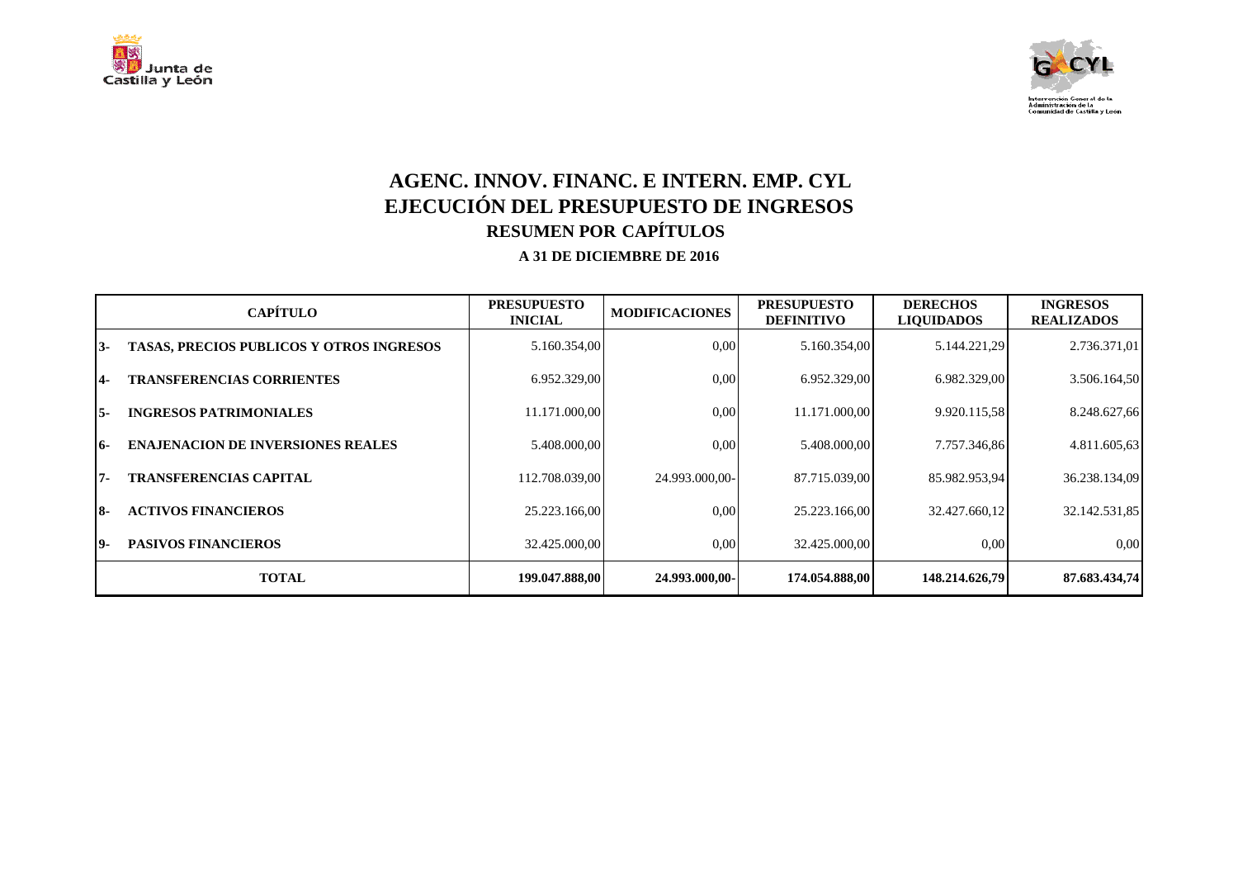



## **AGENC. INNOV. FINANC. E INTERN. EMP. CYL EJECUCIÓN DEL PRESUPUESTO DE INGRESOS RESUMEN POR CAPÍTULOS**

|     | <b>CAPÍTULO</b>                                 | <b>PRESUPUESTO</b><br><b>INICIAL</b> | <b>MODIFICACIONES</b> | <b>PRESUPUESTO</b><br><b>DEFINITIVO</b> | <b>DERECHOS</b><br><b>LIQUIDADOS</b> | <b>INGRESOS</b><br><b>REALIZADOS</b> |
|-----|-------------------------------------------------|--------------------------------------|-----------------------|-----------------------------------------|--------------------------------------|--------------------------------------|
| 13- | <b>TASAS, PRECIOS PUBLICOS Y OTROS INGRESOS</b> | 5.160.354,00                         | 0.00                  | 5.160.354,00                            | 5.144.221,29                         | 2.736.371,01                         |
| 14- | <b>TRANSFERENCIAS CORRIENTES</b>                | 6.952.329,00                         | 0.00                  | 6.952.329,00                            | 6.982.329,00                         | 3.506.164,50                         |
| I5- | <b>INGRESOS PATRIMONIALES</b>                   | 11.171.000,00                        | 0.00                  | 11.171.000,00                           | 9.920.115,58                         | 8.248.627,66                         |
| 16- | <b>ENAJENACION DE INVERSIONES REALES</b>        | 5.408.000,00                         | 0.00                  | 5.408.000.00                            | 7.757.346,86                         | 4.811.605,63                         |
| 17- | <b>TRANSFERENCIAS CAPITAL</b>                   | 112.708.039.00                       | 24.993.000.00-        | 87.715.039,00                           | 85.982.953,94                        | 36.238.134,09                        |
| 18- | <b>ACTIVOS FINANCIEROS</b>                      | 25.223.166.00                        | 0.00                  | 25.223.166.00                           | 32.427.660.12                        | 32.142.531,85                        |
| 19- | <b>PASIVOS FINANCIEROS</b>                      | 32.425.000.00                        | 0.00                  | 32.425.000.00                           | 0.00                                 | 0,00                                 |
|     | <b>TOTAL</b>                                    | 199.047.888.00                       | 24.993.000,00-        | 174.054.888,00                          | 148.214.626,79                       | 87.683.434,74                        |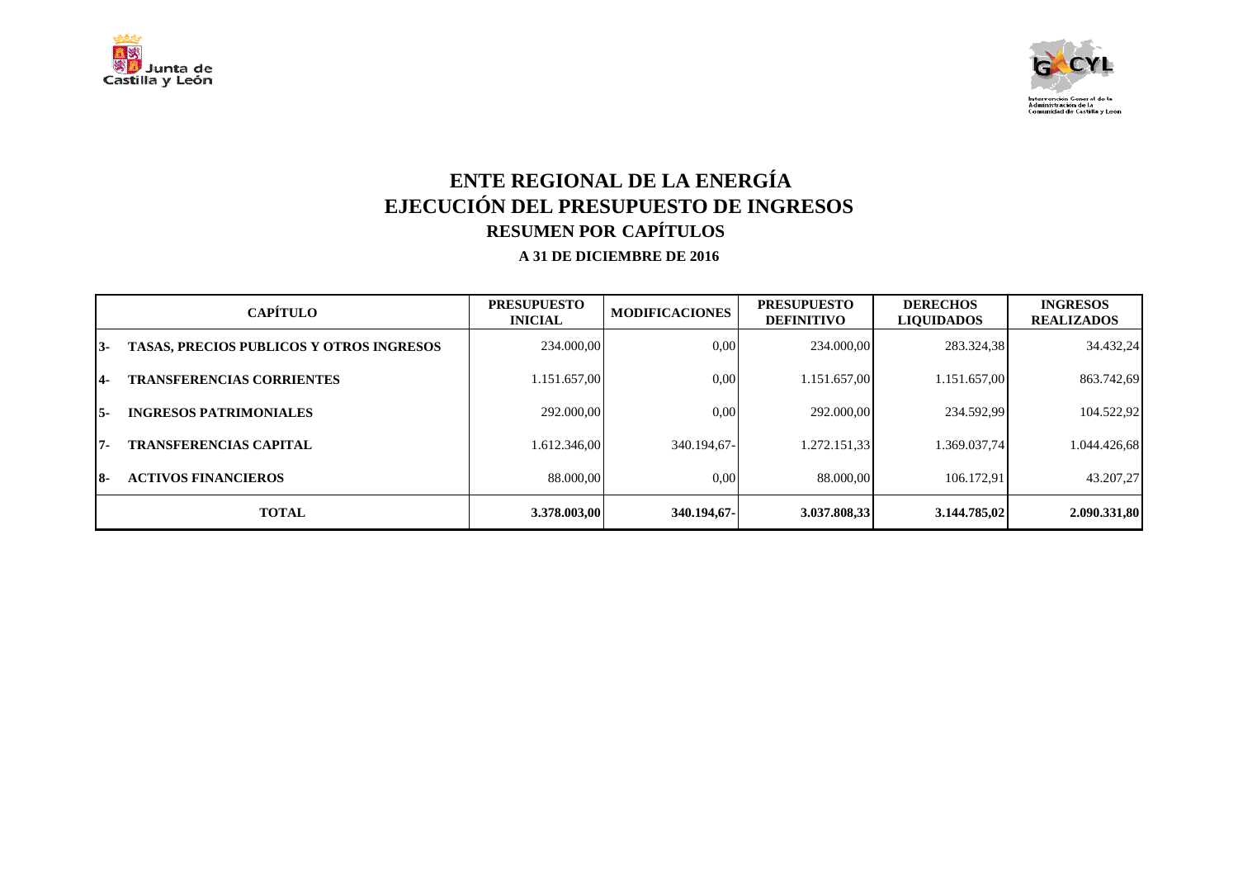



## **ENTE REGIONAL DE LA ENERGÍA EJECUCIÓN DEL PRESUPUESTO DE INGRESOS RESUMEN POR CAPÍTULOS**

|       | <b>CAPÍTULO</b>                                 | <b>PRESUPUESTO</b><br><b>INICIAL</b> | <b>MODIFICACIONES</b> | <b>PRESUPUESTO</b><br><b>DEFINITIVO</b> | <b>DERECHOS</b><br><b>LIQUIDADOS</b> | <b>INGRESOS</b><br><b>REALIZADOS</b> |
|-------|-------------------------------------------------|--------------------------------------|-----------------------|-----------------------------------------|--------------------------------------|--------------------------------------|
| $13-$ | <b>TASAS, PRECIOS PUBLICOS Y OTROS INGRESOS</b> | 234.000.00                           | 0.00                  | 234.000.00                              | 283.324,38                           | 34.432.24                            |
| 14-   | <b>TRANSFERENCIAS CORRIENTES</b>                | 1.151.657,00                         | 0.00                  | 1.151.657.00                            | 1.151.657,00                         | 863.742,69                           |
| 15-   | <b>INGRESOS PATRIMONIALES</b>                   | 292,000,00                           | 0.00                  | 292,000,00                              | 234.592.99                           | 104.522,92                           |
| 17-   | <b>TRANSFERENCIAS CAPITAL</b>                   | 1.612.346.00                         | 340.194.67-           | 1.272.151.33                            | 1.369.037.74                         | 1.044.426.68                         |
| 18-   | <b>ACTIVOS FINANCIEROS</b>                      | 88,000,00                            | 0,00                  | 88.000.00                               | 106.172.91                           | 43.207,27                            |
|       | <b>TOTAL</b>                                    | 3.378.003,00                         | 340.194,67-           | 3.037.808,33                            | 3.144.785,02                         | 2.090.331,80                         |